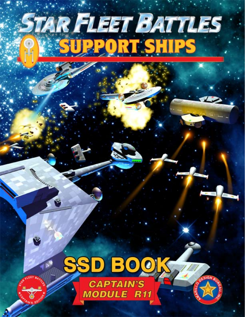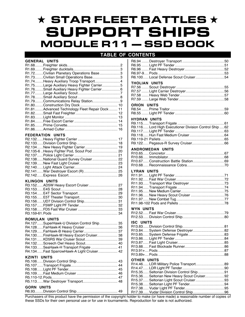# ★ STAR FLEET BATTLES ★ SUPPORT SHIPS MODULE R11 — SSD BOOK

## **TABLE OF CO**

| <b>GENERAL UNITS</b> |                 |  |
|----------------------|-----------------|--|
| <b>D1.60</b>         | Eroightor ckide |  |

| R1.72Civilian Planetary Operations Base3       |  |
|------------------------------------------------|--|
| R1.73Civilian Small Operations Base3           |  |
| R1.74Heavy Auxiliary Troop Transport4          |  |
| R1.75Large Auxiliary Heavy Fighter Carrier5    |  |
| R1.76Small Auxiliary Heavy Fighter Carrier 6   |  |
|                                                |  |
|                                                |  |
|                                                |  |
|                                                |  |
| R1.81Advanced Technology Fleet Repair Dock  11 |  |
|                                                |  |
|                                                |  |
|                                                |  |
|                                                |  |
|                                                |  |
|                                                |  |

#### **FEDERATION UNITS**

| R2.134New Heavy Fighter Carrier 19     |  |
|----------------------------------------|--|
|                                        |  |
|                                        |  |
| R2.138National Guard Survey Cruiser 22 |  |
|                                        |  |
|                                        |  |
|                                        |  |
|                                        |  |
|                                        |  |

### **KLINGON UNITS**

| R3.152AD5W Heavy Escort Cruiser 27 |  |
|------------------------------------|--|
|                                    |  |
|                                    |  |
|                                    |  |
|                                    |  |
|                                    |  |
|                                    |  |
|                                    |  |
|                                    |  |

#### **ROMULAN UNITS**

| R4.127SuperHawk-U Division Control Ship 35 |  |
|--------------------------------------------|--|
| R4.128FarHawk-K Heavy Cruiser  36          |  |
|                                            |  |
| R4.130FireHawk-M Heavy Escort Cruiser 38   |  |
| R4.131KD5RS War Cruiser Scout 39           |  |
| R4.132Screech Owl Heavy Scout 40           |  |
|                                            |  |
| R4.134Fast SparrowHawk-A Light Cruiser 42  |  |
| <b>KZINTI UNITS</b>                        |  |
|                                            |  |
|                                            |  |
|                                            |  |
|                                            |  |
|                                            |  |
| R5.113War Destroyer Transport 48           |  |
| $CCDM$ $HMTC$                              |  |

| <b>CONTENTS:</b>                                                                                                                                       |
|--------------------------------------------------------------------------------------------------------------------------------------------------------|
| R6.100Local Defense Scout Cruiser54                                                                                                                    |
| THOLIAN UNITS                                                                                                                                          |
| <b>ORION UNITS</b>                                                                                                                                     |
| <b>HYDRAN UNITS</b><br>R9.116 Lord High Executioner Division Control Ship  62<br>R9.122 Pegasus-R Survey Cruiser 66                                    |
| <b>ANDROMEDAN UNITS</b><br>R10.67 Construction Battle Station69                                                                                        |
| <b>LYRAN UNITS</b>                                                                                                                                     |
| <b>WYN UNITS</b>                                                                                                                                       |
| <b>ISC UNITS</b><br>R13.84 System Defense Destroyer82                                                                                                  |
| <b>OTHER UNITS</b><br>R14.46 LDR Military Police Transport89<br>R15.35 Seltorian Division Control Ship91<br>R15.36 Seltorian New Heavy Scout Cruiser92 |

R15.37.....Seltorian Light Scout Cruiser........................93 R15.38.....Seltorian Light PF Tender.............................94 R17.38.....Vudar Light PF Tender.................................95

#### **GORN UNITS** R6.93.......Division Control Ship.................................. 49

Purchasers of this product have the permission of the copyright holder to make (or have made) a reasonable number of copies of these SSDs for their own personal use or for use in tournaments. Reproduction for sale is not authorized. R17.39.....Vudar Division Control Ship..........................96